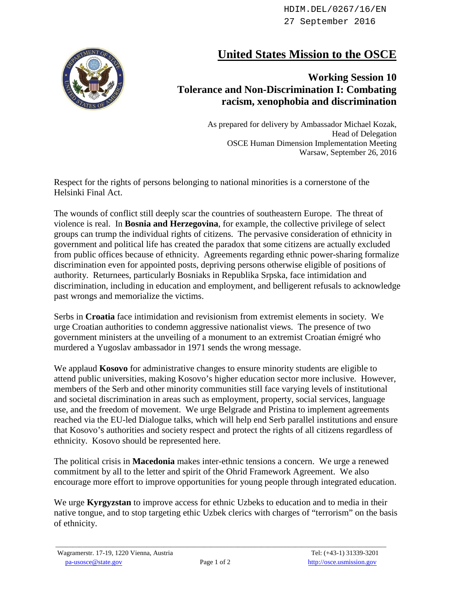HDIM.DEL/0267/16/EN 27 September 2016



## **United States Mission to the OSCE**

## **Working Session 10 Tolerance and Non-Discrimination I: Combating racism, xenophobia and discrimination**

As prepared for delivery by Ambassador Michael Kozak, Head of Delegation OSCE Human Dimension Implementation Meeting Warsaw, September 26, 2016

Respect for the rights of persons belonging to national minorities is a cornerstone of the Helsinki Final Act.

The wounds of conflict still deeply scar the countries of southeastern Europe. The threat of violence is real. In **Bosnia and Herzegovina**, for example, the collective privilege of select groups can trump the individual rights of citizens. The pervasive consideration of ethnicity in government and political life has created the paradox that some citizens are actually excluded from public offices because of ethnicity. Agreements regarding ethnic power-sharing formalize discrimination even for appointed posts, depriving persons otherwise eligible of positions of authority. Returnees, particularly Bosniaks in Republika Srpska, face intimidation and discrimination, including in education and employment, and belligerent refusals to acknowledge past wrongs and memorialize the victims.

Serbs in **Croatia** face intimidation and revisionism from extremist elements in society. We urge Croatian authorities to condemn aggressive nationalist views. The presence of two government ministers at the unveiling of a monument to an extremist Croatian émigré who murdered a Yugoslav ambassador in 1971 sends the wrong message.

We applaud **Kosovo** for administrative changes to ensure minority students are eligible to attend public universities, making Kosovo's higher education sector more inclusive. However, members of the Serb and other minority communities still face varying levels of institutional and societal discrimination in areas such as employment, property, social services, language use, and the freedom of movement. We urge Belgrade and Pristina to implement agreements reached via the EU-led Dialogue talks, which will help end Serb parallel institutions and ensure that Kosovo's authorities and society respect and protect the rights of all citizens regardless of ethnicity. Kosovo should be represented here.

The political crisis in **Macedonia** makes inter-ethnic tensions a concern. We urge a renewed commitment by all to the letter and spirit of the Ohrid Framework Agreement. We also encourage more effort to improve opportunities for young people through integrated education.

We urge **Kyrgyzstan** to improve access for ethnic Uzbeks to education and to media in their native tongue, and to stop targeting ethic Uzbek clerics with charges of "terrorism" on the basis of ethnicity.

 $\_$  ,  $\_$  ,  $\_$  ,  $\_$  ,  $\_$  ,  $\_$  ,  $\_$  ,  $\_$  ,  $\_$  ,  $\_$  ,  $\_$  ,  $\_$  ,  $\_$  ,  $\_$  ,  $\_$  ,  $\_$  ,  $\_$  ,  $\_$  ,  $\_$  ,  $\_$  ,  $\_$  ,  $\_$  ,  $\_$  ,  $\_$  ,  $\_$  ,  $\_$  ,  $\_$  ,  $\_$  ,  $\_$  ,  $\_$  ,  $\_$  ,  $\_$  ,  $\_$  ,  $\_$  ,  $\_$  ,  $\_$  ,  $\_$  ,